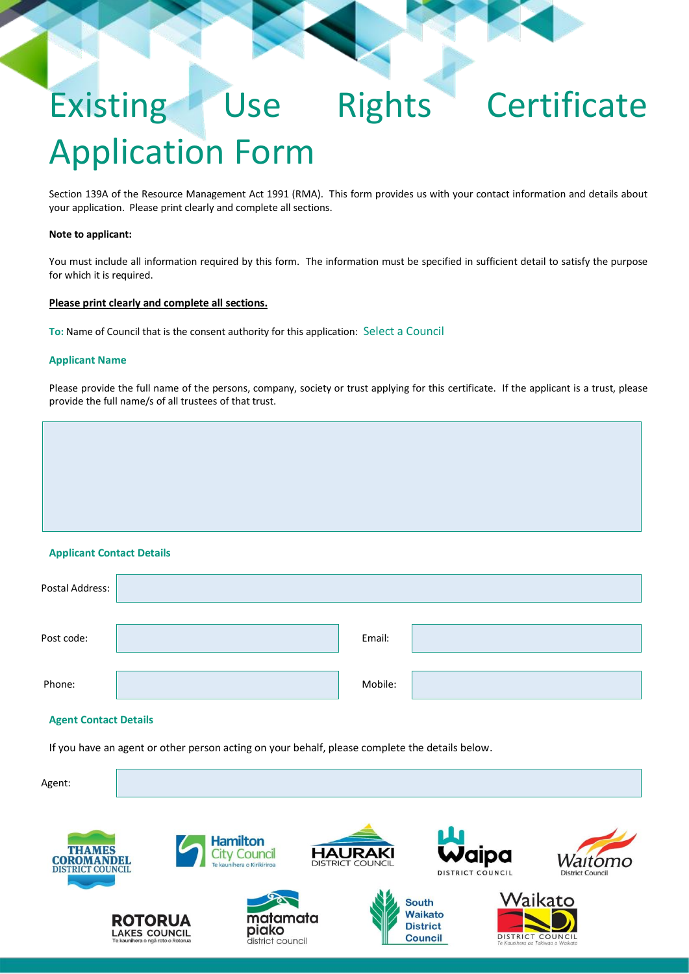# Existing Use Rights Certificate Application Form

Section 139A of the Resource Management Act 1991 (RMA). This form provides us with your contact information and details about your application. Please print clearly and complete all sections.

#### **Note to applicant:**

You must include all information required by this form. The information must be specified in sufficient detail to satisfy the purpose for which it is required.

## **Please print clearly and complete all sections.**

**To:** Name of Council that is the consent authority for this application: Select a Council

## **Applicant Name**

Please provide the full name of the persons, company, society or trust applying for this certificate. If the applicant is a trust, please provide the full name/s of all trustees of that trust.

# **Applicant Contact Details**

| Postal Address: |         |  |
|-----------------|---------|--|
| Post code:      | Email:  |  |
| Phone:          | Mobile: |  |

#### **Agent Contact Details**

If you have an agent or other person acting on your behalf, please complete the details below.

**Hamilton** 

**City Council** 

Agent:









**District** 

**Council** 





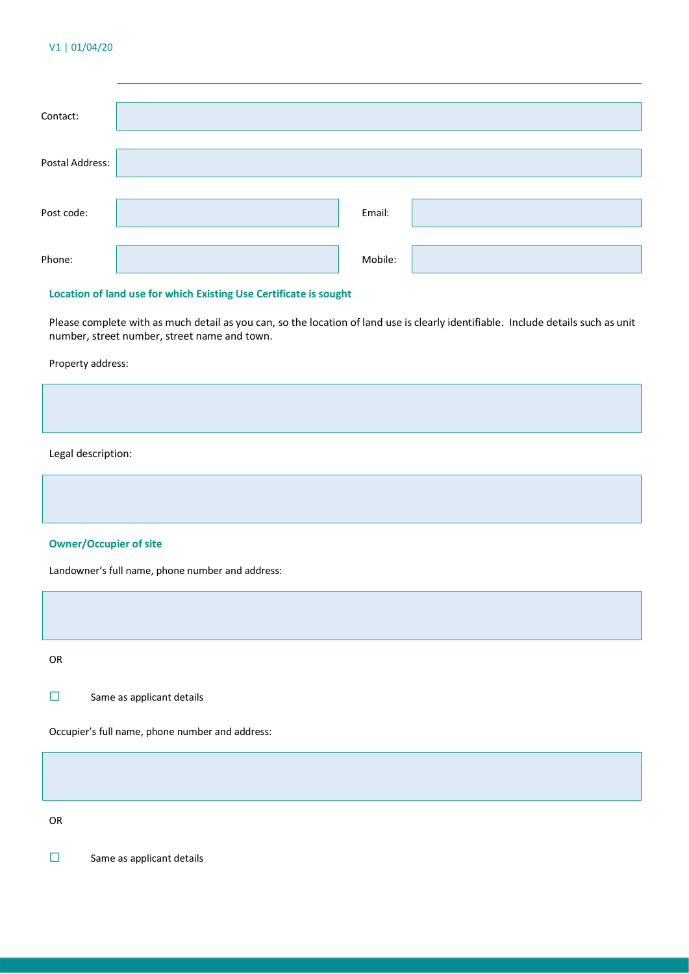#### V1 | 01/04/20

| Contact:        |         |  |
|-----------------|---------|--|
| Postal Address: |         |  |
| Post code:      | Email:  |  |
| Phone:          | Mobile: |  |

#### **Location of land use for which Existing Use Certificate is sought**

Please complete with as much detail as you can, so the location of land use is clearly identifiable. Include details such as unit number, street number, street name and town.

Property address:

Legal description:

# **Owner/Occupier of site**

Landowner's full name, phone number and address:

OR

☐ Same as applicant details

Occupier's full name, phone number and address:

OR

☐ Same as applicant details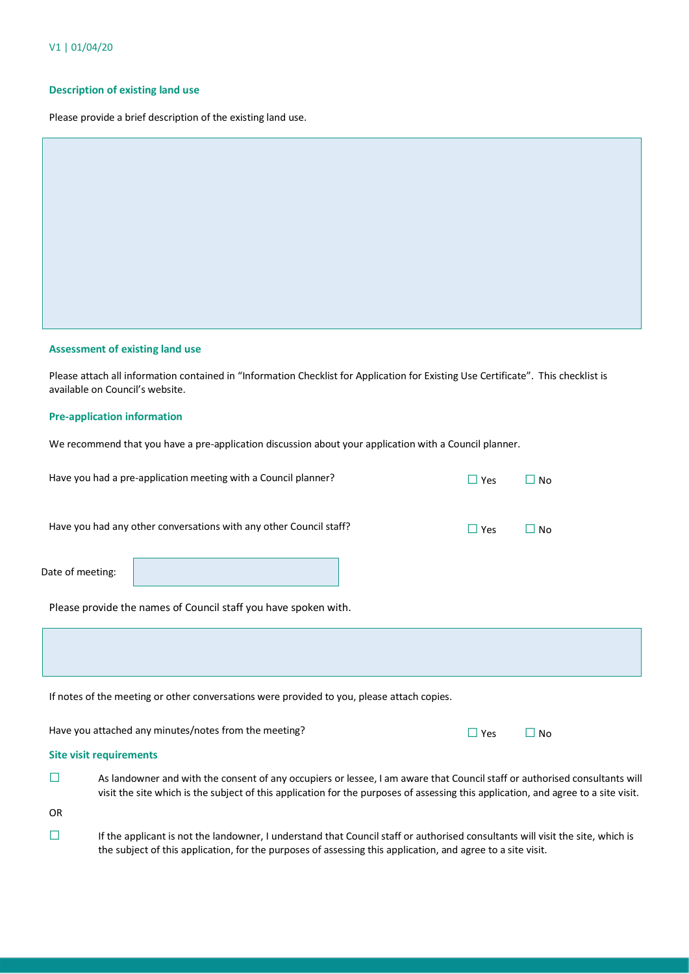#### **Description of existing land use**

Please provide a brief description of the existing land use.

#### **Assessment of existing land use**

Please attach all information contained in "Information Checklist for Application for Existing Use Certificate". This checklist is available on Council's website.

#### **Pre-application information**

We recommend that you have a pre-application discussion about your application with a Council planner.

|                  | Have you had a pre-application meeting with a Council planner?     | $\Box$ Yes | $\square$ No |
|------------------|--------------------------------------------------------------------|------------|--------------|
|                  | Have you had any other conversations with any other Council staff? | $\Box$ Yes | $\square$ No |
| Date of meeting: |                                                                    |            |              |
|                  | Please provide the names of Council staff you have spoken with.    |            |              |
|                  |                                                                    |            |              |
|                  |                                                                    |            |              |

If notes of the meeting or other conversations were provided to you, please attach copies.

| Have you attached any minutes/notes from the meeting? | $\Box$ Yes $\Box$ No |  |
|-------------------------------------------------------|----------------------|--|
|                                                       |                      |  |

## **Site visit requirements**

☐ As landowner and with the consent of any occupiers or lessee, I am aware that Council staff or authorised consultants will visit the site which is the subject of this application for the purposes of assessing this application, and agree to a site visit.

OR

☐ If the applicant is not the landowner, I understand that Council staff or authorised consultants will visit the site, which is the subject of this application, for the purposes of assessing this application, and agree to a site visit.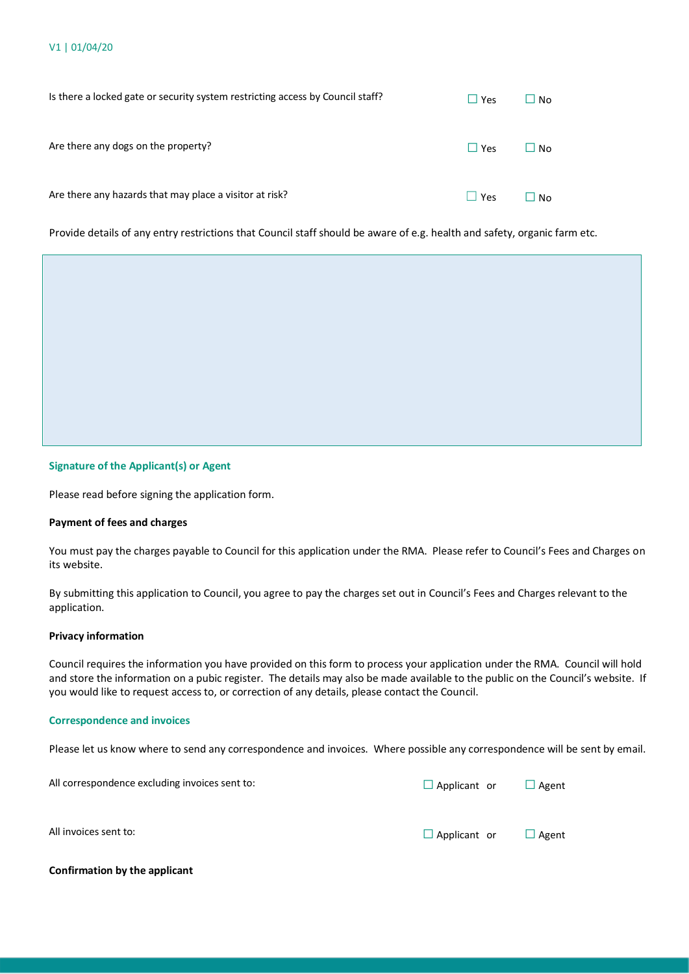| Is there a locked gate or security system restricting access by Council staff? | $\Box$ Yes | $\Box$ No |
|--------------------------------------------------------------------------------|------------|-----------|
| Are there any dogs on the property?                                            | $\Box$ Yes | ∐ No      |
| Are there any hazards that may place a visitor at risk?                        | Yes        | No.       |

Provide details of any entry restrictions that Council staff should be aware of e.g. health and safety, organic farm etc.

#### **Signature of the Applicant(s) or Agent**

Please read before signing the application form.

#### **Payment of fees and charges**

You must pay the charges payable to Council for this application under the RMA. Please refer to Council's Fees and Charges on its website.

By submitting this application to Council, you agree to pay the charges set out in Council's Fees and Charges relevant to the application.

#### **Privacy information**

Council requires the information you have provided on this form to process your application under the RMA. Council will hold and store the information on a pubic register. The details may also be made available to the public on the Council's website. If you would like to request access to, or correction of any details, please contact the Council.

#### **Correspondence and invoices**

Please let us know where to send any correspondence and invoices. Where possible any correspondence will be sent by email.

| All correspondence excluding invoices sent to: | $\Box$ Applicant or | Agent |
|------------------------------------------------|---------------------|-------|
| All invoices sent to:                          | $\Box$ Applicant or | Agent |

#### **Confirmation by the applicant**